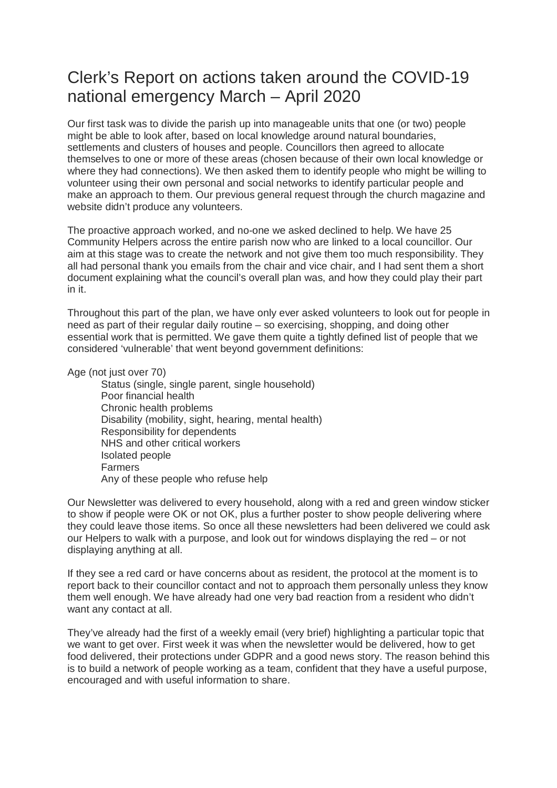## Clerk's Report on actions taken around the COVID-19 national emergency March – April 2020

Our first task was to divide the parish up into manageable units that one (or two) people might be able to look after, based on local knowledge around natural boundaries, settlements and clusters of houses and people. Councillors then agreed to allocate themselves to one or more of these areas (chosen because of their own local knowledge or where they had connections). We then asked them to identify people who might be willing to volunteer using their own personal and social networks to identify particular people and make an approach to them. Our previous general request through the church magazine and website didn't produce any volunteers.

The proactive approach worked, and no-one we asked declined to help. We have 25 Community Helpers across the entire parish now who are linked to a local councillor. Our aim at this stage was to create the network and not give them too much responsibility. They all had personal thank you emails from the chair and vice chair, and I had sent them a short document explaining what the council's overall plan was, and how they could play their part in it.

Throughout this part of the plan, we have only ever asked volunteers to look out for people in need as part of their regular daily routine – so exercising, shopping, and doing other essential work that is permitted. We gave them quite a tightly defined list of people that we considered 'vulnerable' that went beyond government definitions:

Age (not just over 70)

 Status (single, single parent, single household) Poor financial health Chronic health problems Disability (mobility, sight, hearing, mental health) Responsibility for dependents NHS and other critical workers Isolated people Farmers Any of these people who refuse help

Our Newsletter was delivered to every household, along with a red and green window sticker to show if people were OK or not OK, plus a further poster to show people delivering where they could leave those items. So once all these newsletters had been delivered we could ask our Helpers to walk with a purpose, and look out for windows displaying the red – or not displaying anything at all.

If they see a red card or have concerns about as resident, the protocol at the moment is to report back to their councillor contact and not to approach them personally unless they know them well enough. We have already had one very bad reaction from a resident who didn't want any contact at all.

They've already had the first of a weekly email (very brief) highlighting a particular topic that we want to get over. First week it was when the newsletter would be delivered, how to get food delivered, their protections under GDPR and a good news story. The reason behind this is to build a network of people working as a team, confident that they have a useful purpose, encouraged and with useful information to share.